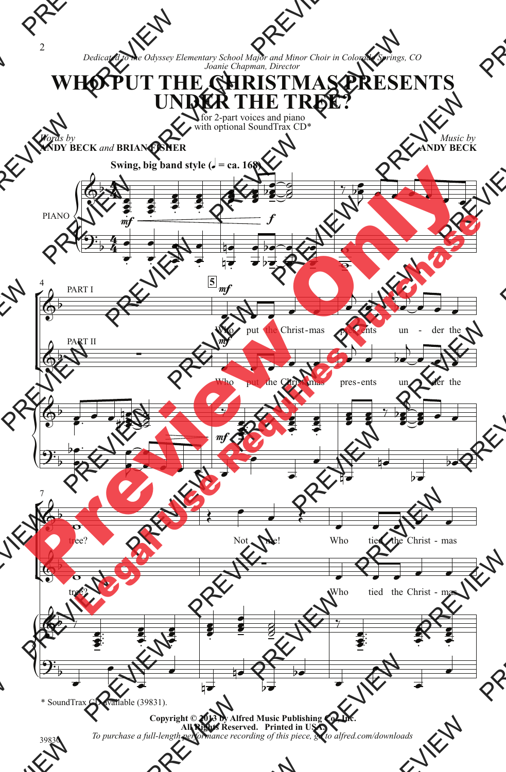*Words by*

**ANDY BECK** *and* **BRIAN FISHER**

 $\overline{4}$  $\frac{4}{4}$ 

 $\overline{\bullet}$ 

 $\overline{\bullet}$ 

 $\overline{\bullet}$  $\overline{\bullet}$   $\overline{\mathbf{z}}$  $\overline{\bullet}$  Ş  $\overline{\bullet}$ 

 $\overline{\mathbb{Q}^{\flat}}$ 

*Dedicated to the Odyssey Elementary School Major and Minor Choir in Colorado Springs, CO Joanie Chapman, Director*

## **WHO PUT THE CHRISTMAS PRESENTS UNDER THE TREE?**

for 2-part voices and piano with optional SoundTrax CD\*

*Music by* **ANDY BECK Swing, big band style (** $\sqrt{ }$  **= ca. 168)**  $\frac{1}{2}$ Ş  $\overline{\bullet}$  $\frac{1}{2}$  $\bullet$  $\overline{\bullet}$  $\frac{2}{5}$  $\frac{1}{2}$ a<br>8  $\frac{3}{2}$   $\frac{1}{2}$  $\overline{\bullet}$  $\overline{b}$ 7  $\overline{\phantom{a}}$  $\blacktriangleright$   $\overline{\phantom{a}}$ 



\* SoundTrax CD available (39831).

**Copyright © 2013 by Alfred Music Publishing Co., Inc. All Rights Reserved. Printed in USA.** *To purchase a full-length performance recording of this piece, go to alfred.com/downloads*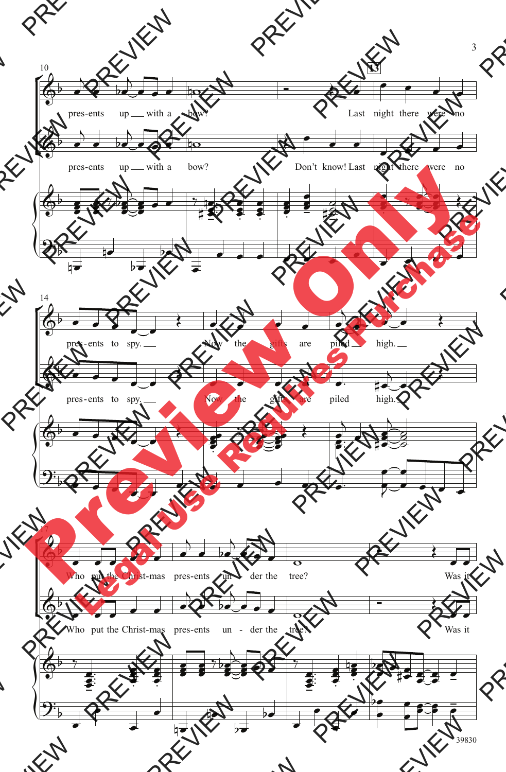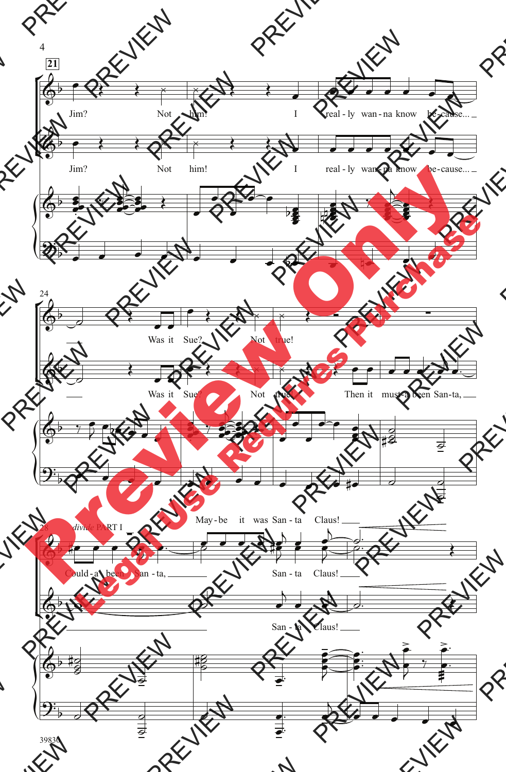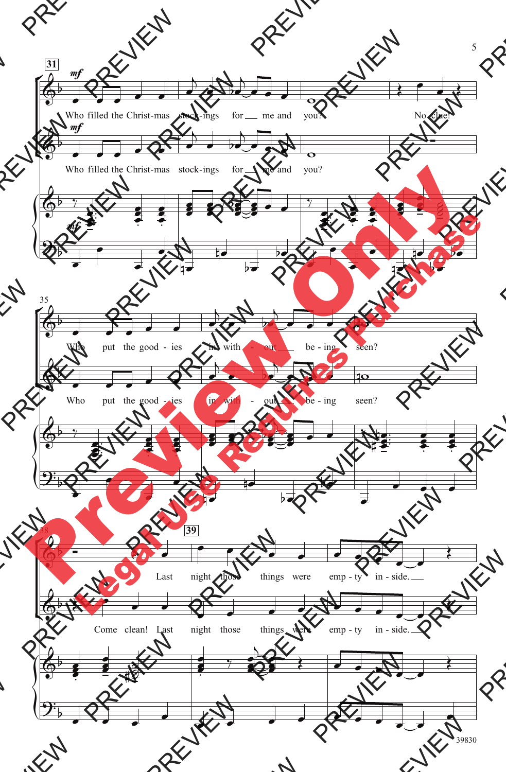

5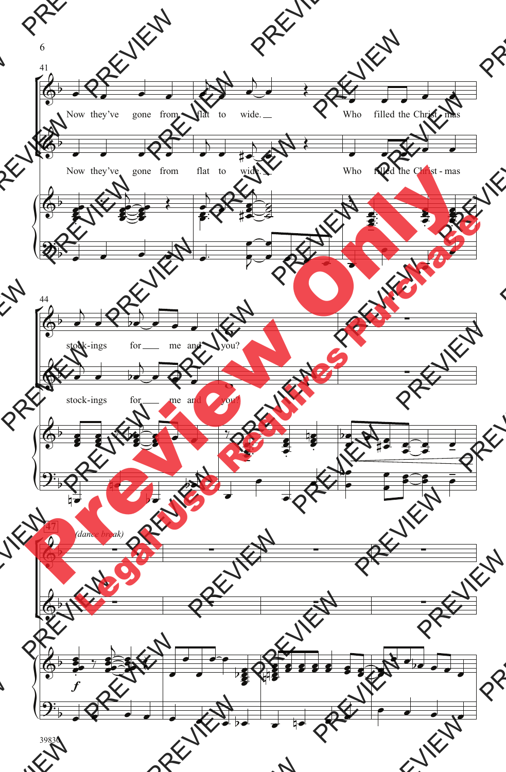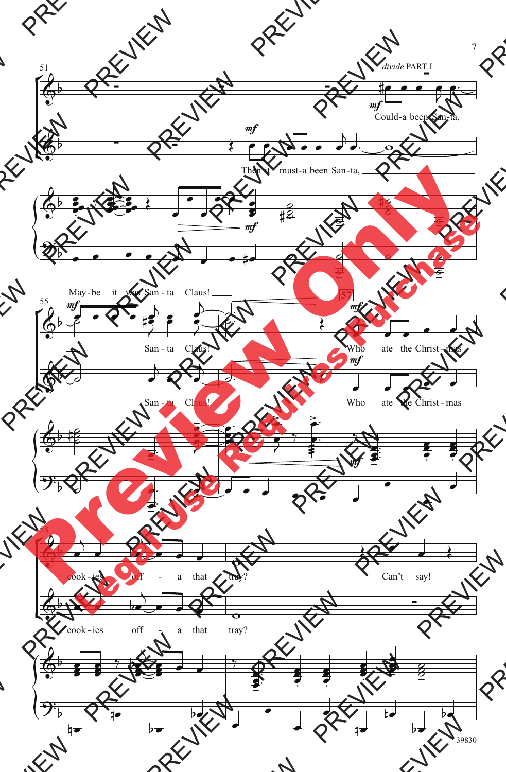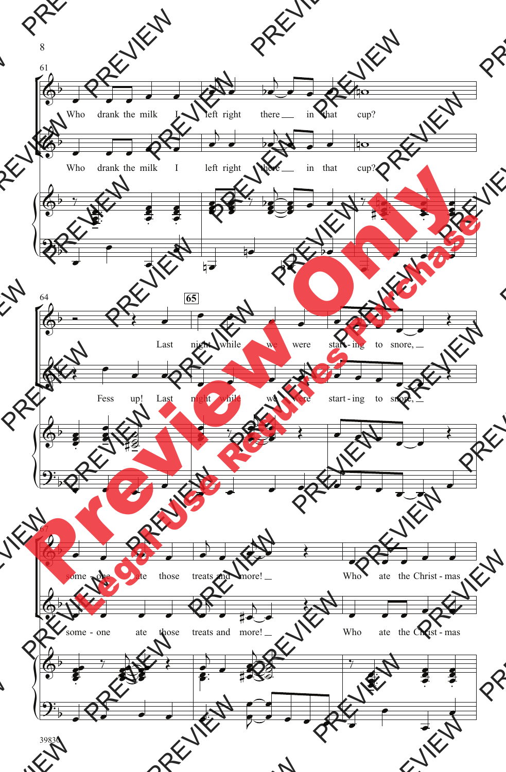

8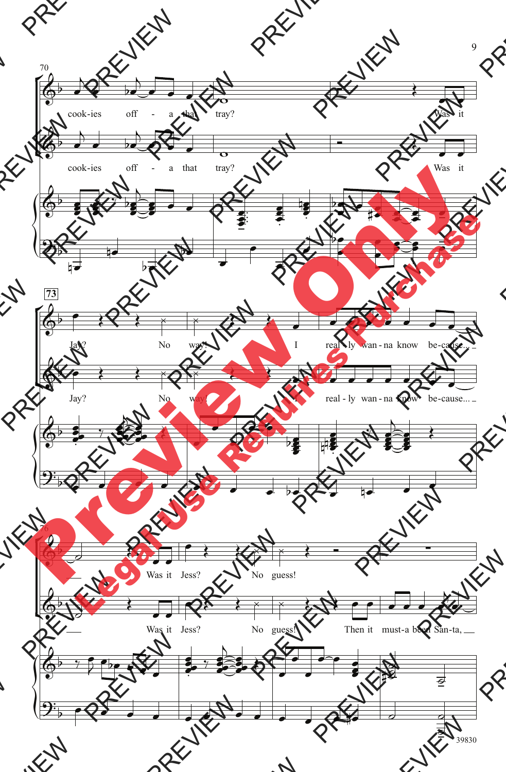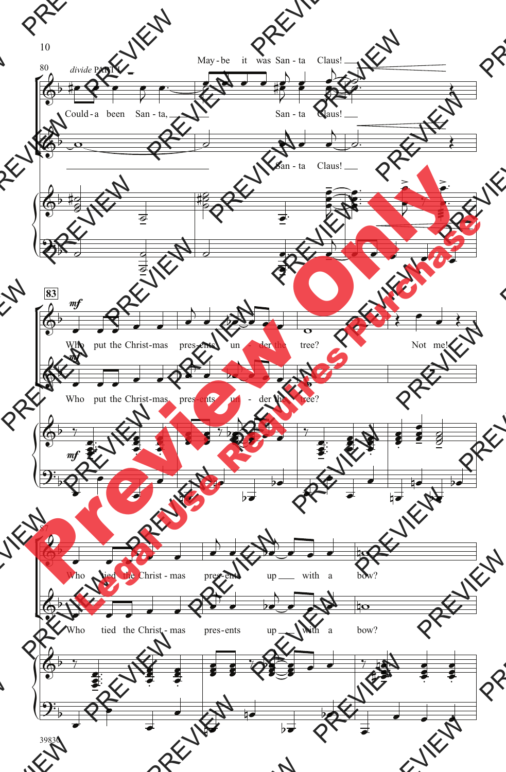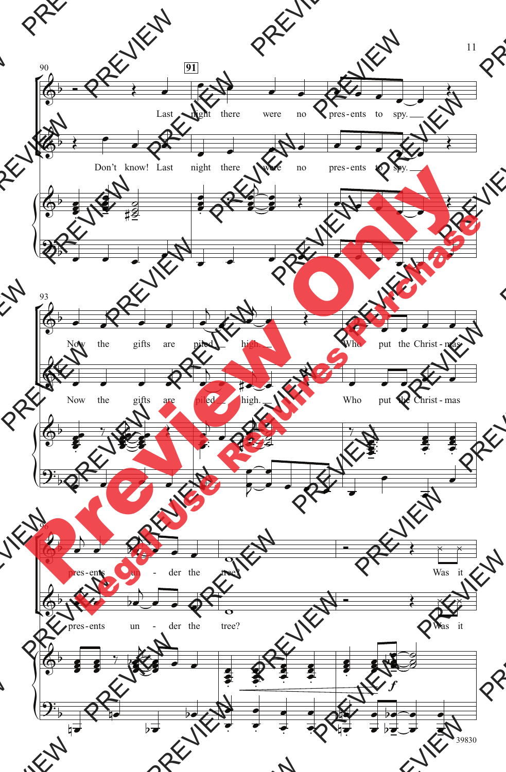